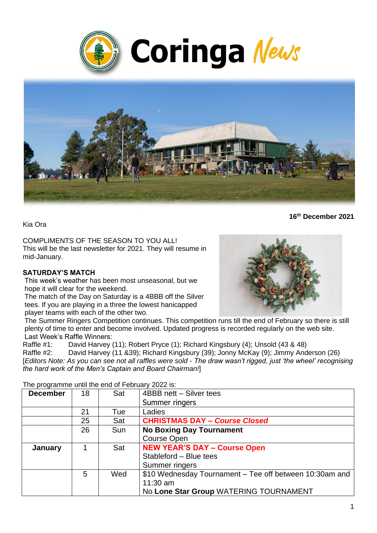



Kia Ora

COMPLIMENTS OF THE SEASON TO YOU ALL! This will be the last newsletter for 2021. They will resume in mid-January.

#### **SATURDAY'S MATCH**

This week's weather has been most unseasonal, but we hope it will clear for the weekend.

The match of the Day on Saturday is a 4BBB off the Silver tees. If you are playing in a three the lowest hanicapped player teams with each of the other two.



**16th December 2021**

The Summer Ringers Competition continues. This competition runs till the end of February so there is still plenty of time to enter and become involved. Updated progress is recorded regularly on the web site. Last Week's Raffle Winners:

Raffle #1: David Harvey (11); Robert Pryce (1); Richard Kingsbury (4); Unsold (43 & 48)

Raffle #2: David Harvey (11 &39); Richard Kingsbury (39); Jonny McKay (9); Jimmy Anderson (26) [*Editors Note: As you can see not all raffles were sold - The draw wasn't rigged, just 'the wheel' recognising the hard work of the Men's Captain and Board Chairman!*]

| <b>December</b> | 18 | Sat | 4BBB nett - Silver tees                                 |
|-----------------|----|-----|---------------------------------------------------------|
|                 |    |     | Summer ringers                                          |
|                 | 21 | Tue | Ladies                                                  |
|                 | 25 | Sat | <b>CHRISTMAS DAY - Course Closed</b>                    |
|                 | 26 | Sun | <b>No Boxing Day Tournament</b>                         |
|                 |    |     | <b>Course Open</b>                                      |
| January         |    | Sat | <b>NEW YEAR'S DAY - Course Open</b>                     |
|                 |    |     | Stableford - Blue tees                                  |
|                 |    |     | Summer ringers                                          |
|                 | 5  | Wed | \$10 Wednesday Tournament – Tee off between 10:30am and |
|                 |    |     | $11:30$ am                                              |
|                 |    |     | No Lone Star Group WATERING TOURNAMENT                  |

The programme until the end of February 2022 is: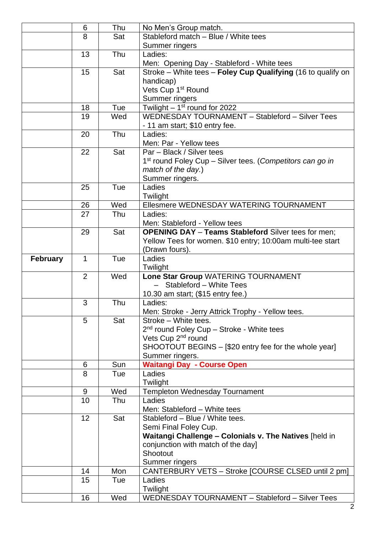|                 | 6              | Thu |                                                                       |
|-----------------|----------------|-----|-----------------------------------------------------------------------|
|                 |                |     | No Men's Group match.                                                 |
|                 | 8              | Sat | Stableford match - Blue / White tees                                  |
|                 |                |     | Summer ringers                                                        |
|                 | 13             | Thu | Ladies:                                                               |
|                 |                |     | Men: Opening Day - Stableford - White tees                            |
|                 | 15             | Sat | Stroke – White tees – Foley Cup Qualifying (16 to qualify on          |
|                 |                |     | handicap)                                                             |
|                 |                |     | Vets Cup 1 <sup>st</sup> Round                                        |
|                 |                |     |                                                                       |
|                 |                |     | Summer ringers                                                        |
|                 | 18             | Tue | Twilight $-1st$ round for 2022                                        |
|                 | 19             | Wed | WEDNESDAY TOURNAMENT - Stableford - Silver Tees                       |
|                 |                |     | - 11 am start; \$10 entry fee.                                        |
|                 | 20             | Thu | Ladies:                                                               |
|                 |                |     | Men: Par - Yellow tees                                                |
|                 | 22             | Sat | Par - Black / Silver tees                                             |
|                 |                |     |                                                                       |
|                 |                |     | 1 <sup>st</sup> round Foley Cup – Silver tees. (Competitors can go in |
|                 |                |     | match of the day.)                                                    |
|                 |                |     | Summer ringers.                                                       |
|                 | 25             | Tue | Ladies                                                                |
|                 |                |     | Twilight                                                              |
|                 | 26             | Wed | Ellesmere WEDNESDAY WATERING TOURNAMENT                               |
|                 | 27             | Thu | Ladies:                                                               |
|                 |                |     |                                                                       |
|                 |                |     | Men: Stableford - Yellow tees                                         |
|                 | 29             | Sat | <b>OPENING DAY - Teams Stableford Silver tees for men;</b>            |
|                 |                |     | Yellow Tees for women. \$10 entry; 10:00am multi-tee start            |
|                 |                |     | (Drawn fours).                                                        |
| <b>February</b> | 1              | Tue | Ladies                                                                |
|                 |                |     | Twilight                                                              |
|                 | $\overline{2}$ | Wed | Lone Star Group WATERING TOURNAMENT                                   |
|                 |                |     | Stableford - White Tees                                               |
|                 |                |     | 10.30 am start; (\$15 entry fee.)                                     |
|                 | 3              | Thu |                                                                       |
|                 |                |     | Ladies:                                                               |
|                 |                |     | Men: Stroke - Jerry Attrick Trophy - Yellow tees.                     |
|                 | 5              | Sat | Stroke - White tees.                                                  |
|                 |                |     | 2 <sup>nd</sup> round Foley Cup - Stroke - White tees                 |
|                 |                |     | Vets Cup 2 <sup>nd</sup> round                                        |
|                 |                |     | SHOOTOUT BEGINS - [\$20 entry fee for the whole year]                 |
|                 |                |     | Summer ringers.                                                       |
|                 | 6              | Sun | <b>Waitangi Day - Course Open</b>                                     |
|                 | 8              | Tue | Ladies                                                                |
|                 |                |     |                                                                       |
|                 |                |     | Twilight                                                              |
|                 | 9              | Wed | <b>Templeton Wednesday Tournament</b>                                 |
|                 | 10             | Thu | Ladies                                                                |
|                 |                |     | Men: Stableford - White tees                                          |
|                 | 12             | Sat | Stableford - Blue / White tees.                                       |
|                 |                |     | Semi Final Foley Cup.                                                 |
|                 |                |     | Waitangi Challenge - Colonials v. The Natives [held in                |
|                 |                |     | conjunction with match of the day]                                    |
|                 |                |     | Shootout                                                              |
|                 |                |     |                                                                       |
|                 |                |     | Summer ringers                                                        |
|                 | 14             | Mon | CANTERBURY VETS - Stroke [COURSE CLSED until 2 pm]                    |
|                 | 15             | Tue | Ladies                                                                |
|                 |                |     | Twilight                                                              |
|                 | 16             | Wed | WEDNESDAY TOURNAMENT - Stableford - Silver Tees                       |
|                 |                |     |                                                                       |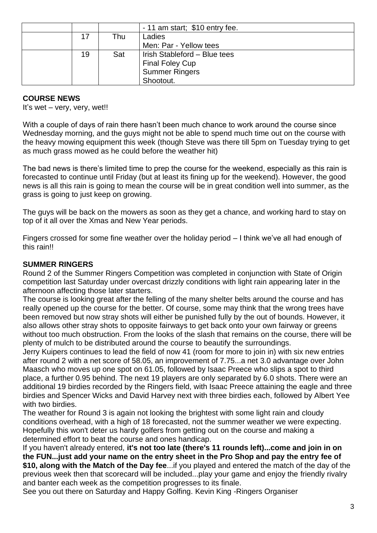|    |     | $-11$ am start; \$10 entry fee. |
|----|-----|---------------------------------|
| 17 | Thu | Ladies                          |
|    |     | Men: Par - Yellow tees          |
| 19 | Sat | Irish Stableford - Blue tees    |
|    |     | <b>Final Foley Cup</b>          |
|    |     | <b>Summer Ringers</b>           |
|    |     | Shootout.                       |

#### **COURSE NEWS**

It's wet – very, very, wet!!

With a couple of days of rain there hasn't been much chance to work around the course since Wednesday morning, and the guys might not be able to spend much time out on the course with the heavy mowing equipment this week (though Steve was there till 5pm on Tuesday trying to get as much grass mowed as he could before the weather hit)

The bad news is there's limited time to prep the course for the weekend, especially as this rain is forecasted to continue until Friday (but at least its fining up for the weekend). However, the good news is all this rain is going to mean the course will be in great condition well into summer, as the grass is going to just keep on growing.

The guys will be back on the mowers as soon as they get a chance, and working hard to stay on top of it all over the Xmas and New Year periods.

Fingers crossed for some fine weather over the holiday period – I think we've all had enough of this rain!!

#### **SUMMER RINGERS**

Round 2 of the Summer Ringers Competition was completed in conjunction with State of Origin competition last Saturday under overcast drizzly conditions with light rain appearing later in the afternoon affecting those later starters.

The course is looking great after the felling of the many shelter belts around the course and has really opened up the course for the better. Of course, some may think that the wrong trees have been removed but now stray shots will either be punished fully by the out of bounds. However, it also allows other stray shots to opposite fairways to get back onto your own fairway or greens without too much obstruction. From the looks of the slash that remains on the course, there will be plenty of mulch to be distributed around the course to beautify the surroundings.

Jerry Kuipers continues to lead the field of now 41 (room for more to join in) with six new entries after round 2 with a net score of 58.05, an improvement of 7.75...a net 3.0 advantage over John Maasch who moves up one spot on 61.05, followed by Isaac Preece who slips a spot to third place, a further 0.95 behind. The next 19 players are only separated by 6.0 shots. There were an additional 19 birdies recorded by the Ringers field, with Isaac Preece attaining the eagle and three birdies and Spencer Wicks and David Harvey next with three birdies each, followed by Albert Yee with two birdies.

The weather for Round 3 is again not looking the brightest with some light rain and cloudy conditions overhead, with a high of 18 forecasted, not the summer weather we were expecting. Hopefully this won't deter us hardy golfers from getting out on the course and making a determined effort to beat the course and ones handicap.

If you haven't already entered, **it's not too late (there's 11 rounds left)...come and join in on the FUN...just add your name on the entry sheet in the Pro Shop and pay the entry fee of \$10, along with the Match of the Day fee**...if you played and entered the match of the day of the previous week then that scorecard will be included...play your game and enjoy the friendly rivalry and banter each week as the competition progresses to its finale.

See you out there on Saturday and Happy Golfing. Kevin King -Ringers Organiser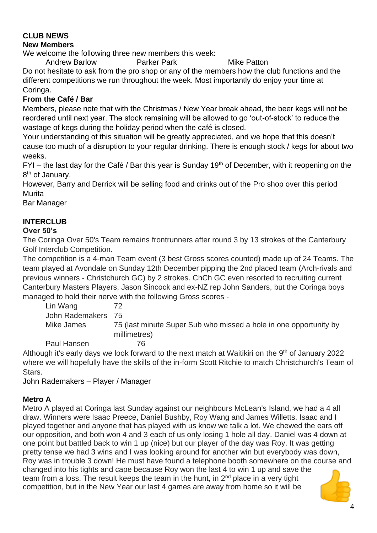# **CLUB NEWS**

#### **New Members**

We welcome the following three new members this week:

Andrew Barlow **Parker Park Mike Patton** 

Do not hesitate to ask from the pro shop or any of the members how the club functions and the different competitions we run throughout the week. Most importantly do enjoy your time at Coringa.

## **From the Café / Bar**

Members, please note that with the Christmas / New Year break ahead, the beer kegs will not be reordered until next year. The stock remaining will be allowed to go 'out-of-stock' to reduce the wastage of kegs during the holiday period when the café is closed.

Your understanding of this situation will be greatly appreciated, and we hope that this doesn't cause too much of a disruption to your regular drinking. There is enough stock / kegs for about two weeks.

 $FYI$  – the last day for the Café / Bar this year is Sunday 19<sup>th</sup> of December, with it reopening on the 8<sup>th</sup> of January.

However, Barry and Derrick will be selling food and drinks out of the Pro shop over this period **Murita** 

Bar Manager

## **INTERCLUB**

## **Over 50's**

The Coringa Over 50's Team remains frontrunners after round 3 by 13 strokes of the Canterbury Golf Interclub Competition.

The competition is a 4-man Team event (3 best Gross scores counted) made up of 24 Teams. The team played at Avondale on Sunday 12th December pipping the 2nd placed team (Arch-rivals and previous winners - Christchurch GC) by 2 strokes. ChCh GC even resorted to recruiting current Canterbury Masters Players, Jason Sincock and ex-NZ rep John Sanders, but the Coringa boys managed to hold their nerve with the following Gross scores -

Lin Wang 72 John Rademakers 75 Mike James 75 (last minute Super Sub who missed a hole in one opportunity by millimetres) Paul Hansen 76

Although it's early days we look forward to the next match at Waitikiri on the 9<sup>th</sup> of January 2022 where we will hopefully have the skills of the in-form Scott Ritchie to match Christchurch's Team of Stars.

John Rademakers – Player / Manager

## **Metro A**

Metro A played at Coringa last Sunday against our neighbours McLean's Island, we had a 4 all draw. Winners were Isaac Preece, Daniel Bushby, Roy Wang and James Willetts. Isaac and I played together and anyone that has played with us know we talk a lot. We chewed the ears off our opposition, and both won 4 and 3 each of us only losing 1 hole all day. Daniel was 4 down at one point but battled back to win 1 up (nice) but our player of the day was Roy. It was getting pretty tense we had 3 wins and I was looking around for another win but everybody was down, Roy was in trouble 3 down! He must have found a telephone booth somewhere on the course and changed into his tights and cape because Roy won the last 4 to win 1 up and save the team from a loss. The result keeps the team in the hunt, in  $2<sup>nd</sup>$  place in a very tight competition, but in the New Year our last 4 games are away from home so it will be

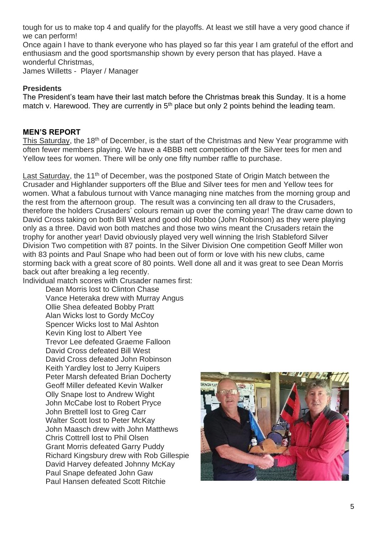tough for us to make top 4 and qualify for the playoffs. At least we still have a very good chance if we can perform!

Once again I have to thank everyone who has played so far this year I am grateful of the effort and enthusiasm and the good sportsmanship shown by every person that has played. Have a wonderful Christmas, James Willetts - Player / Manager

#### **Presidents**

The President's team have their last match before the Christmas break this Sunday. It is a home match v. Harewood. They are currently in  $5<sup>th</sup>$  place but only 2 points behind the leading team.

#### **MEN'S REPORT**

This Saturday, the 18<sup>th</sup> of December, is the start of the Christmas and New Year programme with often fewer members playing. We have a 4BBB nett competition off the Silver tees for men and Yellow tees for women. There will be only one fifty number raffle to purchase.

Last Saturday, the 11<sup>th</sup> of December, was the postponed State of Origin Match between the Crusader and Highlander supporters off the Blue and Silver tees for men and Yellow tees for women. What a fabulous turnout with Vance managing nine matches from the morning group and the rest from the afternoon group. The result was a convincing ten all draw to the Crusaders, therefore the holders Crusaders' colours remain up over the coming year! The draw came down to David Cross taking on both Bill West and good old Robbo (John Robinson) as they were playing only as a three. David won both matches and those two wins meant the Crusaders retain the trophy for another year! David obviously played very well winning the Irish Stableford Silver Division Two competition with 87 points. In the Silver Division One competition Geoff Miller won with 83 points and Paul Snape who had been out of form or love with his new clubs, came storming back with a great score of 80 points. Well done all and it was great to see Dean Morris back out after breaking a leg recently.

Individual match scores with Crusader names first:

Dean Morris lost to Clinton Chase Vance Heteraka drew with Murray Angus Ollie Shea defeated Bobby Pratt Alan Wicks lost to Gordy McCoy Spencer Wicks lost to Mal Ashton Kevin King lost to Albert Yee Trevor Lee defeated Graeme Falloon David Cross defeated Bill West David Cross defeated John Robinson Keith Yardley lost to Jerry Kuipers Peter Marsh defeated Brian Docherty Geoff Miller defeated Kevin Walker Olly Snape lost to Andrew Wight John McCabe lost to Robert Pryce John Brettell lost to Greg Carr Walter Scott lost to Peter McKay John Maasch drew with John Matthews Chris Cottrell lost to Phil Olsen Grant Morris defeated Garry Puddy Richard Kingsbury drew with Rob Gillespie David Harvey defeated Johnny McKay Paul Snape defeated John Gaw Paul Hansen defeated Scott Ritchie

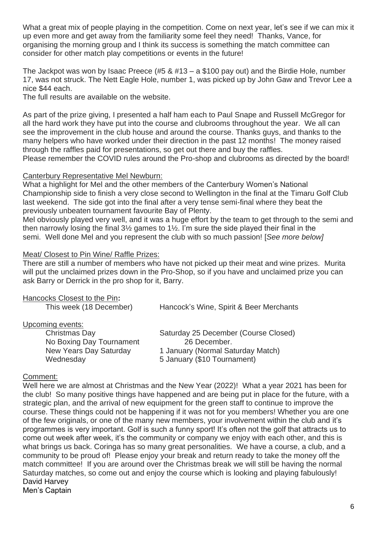What a great mix of people playing in the competition. Come on next year, let's see if we can mix it up even more and get away from the familiarity some feel they need! Thanks, Vance, for organising the morning group and I think its success is something the match committee can consider for other match play competitions or events in the future!

The Jackpot was won by Isaac Preece (#5 & #13 – a \$100 pay out) and the Birdie Hole, number 17, was not struck. The Nett Eagle Hole, number 1, was picked up by John Gaw and Trevor Lee a nice \$44 each.

The full results are available on the website.

As part of the prize giving, I presented a half ham each to Paul Snape and Russell McGregor for all the hard work they have put into the course and clubrooms throughout the year. We all can see the improvement in the club house and around the course. Thanks guys, and thanks to the many helpers who have worked under their direction in the past 12 months! The money raised through the raffles paid for presentations, so get out there and buy the raffles. Please remember the COVID rules around the Pro-shop and clubrooms as directed by the board!

#### Canterbury Representative Mel Newburn:

What a highlight for Mel and the other members of the Canterbury Women's National Championship side to finish a very close second to Wellington in the final at the Timaru Golf Club last weekend. The side got into the final after a very tense semi-final where they beat the previously unbeaten tournament favourite Bay of Plenty.

Mel obviously played very well, and it was a huge effort by the team to get through to the semi and then narrowly losing the final 3½ games to 1½. I'm sure the side played their final in the semi. Well done Mel and you represent the club with so much passion! [*See more below]*

#### Meat/ Closest to Pin Wine/ Raffle Prizes:

There are still a number of members who have not picked up their meat and wine prizes. Murita will put the unclaimed prizes down in the Pro-Shop, so if you have and unclaimed prize you can ask Barry or Derrick in the pro shop for it, Barry.

| Hancock's Wine, Spirit & Beer Merchants |
|-----------------------------------------|
|                                         |
| Saturday 25 December (Course Closed)    |
| 26 December.                            |
| 1 January (Normal Saturday Match)       |
| 5 January (\$10 Tournament)             |
|                                         |

#### Comment:

Well here we are almost at Christmas and the New Year (2022)! What a year 2021 has been for the club! So many positive things have happened and are being put in place for the future, with a strategic plan, and the arrival of new equipment for the green staff to continue to improve the course. These things could not be happening if it was not for you members! Whether you are one of the few originals, or one of the many new members, your involvement within the club and it's programmes is very important. Golf is such a funny sport! It's often not the golf that attracts us to come out week after week, it's the community or company we enjoy with each other, and this is what brings us back. Coringa has so many great personalities. We have a course, a club, and a community to be proud of! Please enjoy your break and return ready to take the money off the match committee! If you are around over the Christmas break we will still be having the normal Saturday matches, so come out and enjoy the course which is looking and playing fabulously! David Harvey Men's Captain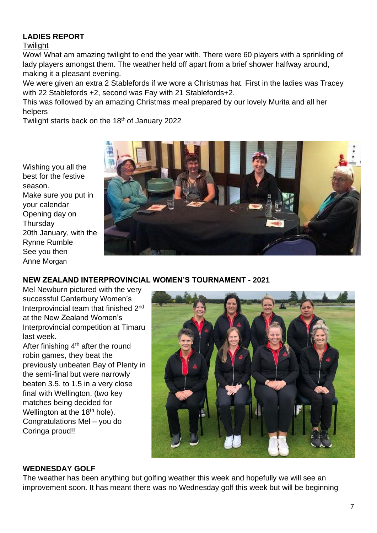## **LADIES REPORT**

#### **Twilight**

Wow! What am amazing twilight to end the year with. There were 60 players with a sprinkling of lady players amongst them. The weather held off apart from a brief shower halfway around, making it a pleasant evening.

We were given an extra 2 Stablefords if we wore a Christmas hat. First in the ladies was Tracey with 22 Stablefords +2, second was Fay with 21 Stablefords+2.

This was followed by an amazing Christmas meal prepared by our lovely Murita and all her helpers

Twilight starts back on the 18<sup>th</sup> of January 2022

Wishing you all the best for the festive season. Make sure you put in your calendar Opening day on **Thursday** 20th January, with the Rynne Rumble See you then Anne Morgan



## **NEW ZEALAND INTERPROVINCIAL WOMEN'S TOURNAMENT - 2021**

Mel Newburn pictured with the very successful Canterbury Women's Interprovincial team that finished 2<sup>nd</sup> at the New Zealand Women's Interprovincial competition at Timaru last week.

After finishing 4<sup>th</sup> after the round robin games, they beat the previously unbeaten Bay of Plenty in the semi-final but were narrowly beaten 3.5. to 1.5 in a very close final with Wellington, (two key matches being decided for Wellington at the 18<sup>th</sup> hole). Congratulations Mel – you do Coringa proud!!



#### **WEDNESDAY GOLF**

The weather has been anything but golfing weather this week and hopefully we will see an improvement soon. It has meant there was no Wednesday golf this week but will be beginning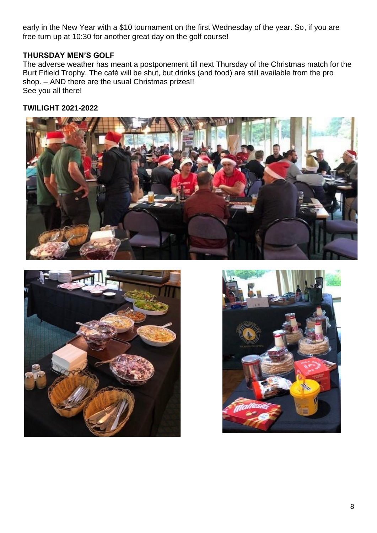early in the New Year with a \$10 tournament on the first Wednesday of the year. So, if you are free turn up at 10:30 for another great day on the golf course!

## **THURSDAY MEN'S GOLF**

The adverse weather has meant a postponement till next Thursday of the Christmas match for the Burt Fifield Trophy. The café will be shut, but drinks (and food) are still available from the pro shop. – AND there are the usual Christmas prizes!! See you all there!

## **TWILIGHT 2021-2022**